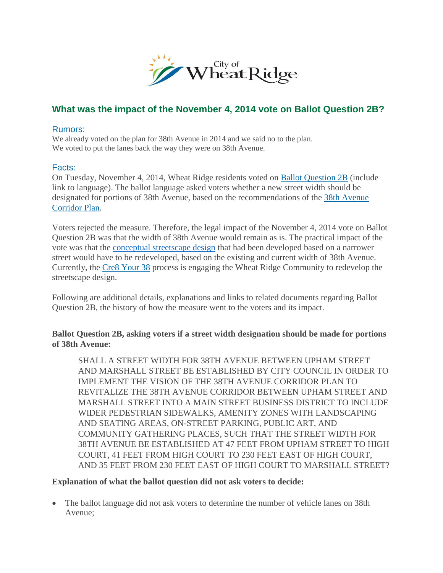

# **What was the impact of the November 4, 2014 vote on Ballot Question 2B?**

#### Rumors:

We already voted on the plan for 38th Avenue in 2014 and we said no to the plan. We voted to put the lanes back the way they were on 38th Avenue.

## Facts:

On Tuesday, November 4, 2014, Wheat Ridge residents voted on [Ballot Question 2B](http://www.ci.wheatridge.co.us/ArchiveCenter/ViewFile/Item/2936) (include link to language). The ballot language asked voters whether a new street width should be designated for portions of 38th Avenue, based on the recommendations of the [38th Avenue](http://www.ci.wheatridge.co.us/DocumentCenter/View/3081)  [Corridor Plan.](http://www.ci.wheatridge.co.us/DocumentCenter/View/3081)

Voters rejected the measure. Therefore, the legal impact of the November 4, 2014 vote on Ballot Question 2B was that the width of 38th Avenue would remain as is. The practical impact of the vote was that the [conceptual streetscape design](http://www.ci.wheatridge.co.us/1227/Conceptual-Streetscape) that had been developed based on a narrower street would have to be redeveloped, based on the existing and current width of 38th Avenue. Currently, the [Cre8 Your 38](http://www.ci.wheatridge.co.us/981/38th-Avenue) process is engaging the Wheat Ridge Community to redevelop the streetscape design.

Following are additional details, explanations and links to related documents regarding Ballot Question 2B, the history of how the measure went to the voters and its impact.

## **Ballot Question 2B, asking voters if a street width designation should be made for portions of 38th Avenue:**

SHALL A STREET WIDTH FOR 38TH AVENUE BETWEEN UPHAM STREET AND MARSHALL STREET BE ESTABLISHED BY CITY COUNCIL IN ORDER TO IMPLEMENT THE VISION OF THE 38TH AVENUE CORRIDOR PLAN TO REVITALIZE THE 38TH AVENUE CORRIDOR BETWEEN UPHAM STREET AND MARSHALL STREET INTO A MAIN STREET BUSINESS DISTRICT TO INCLUDE WIDER PEDESTRIAN SIDEWALKS, AMENITY ZONES WITH LANDSCAPING AND SEATING AREAS, ON-STREET PARKING, PUBLIC ART, AND COMMUNITY GATHERING PLACES, SUCH THAT THE STREET WIDTH FOR 38TH AVENUE BE ESTABLISHED AT 47 FEET FROM UPHAM STREET TO HIGH COURT, 41 FEET FROM HIGH COURT TO 230 FEET EAST OF HIGH COURT, AND 35 FEET FROM 230 FEET EAST OF HIGH COURT TO MARSHALL STREET?

## **Explanation of what the ballot question did not ask voters to decide:**

• The ballot language did not ask voters to determine the number of vehicle lanes on 38th Avenue;